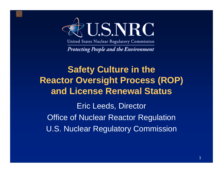

United States Nuclear Regulatory Commission

**Protecting People and the Environment** 

## **Safety Culture in the Reactor Oversight Process (ROP) and License Renewal Status** Eric Leeds, Director Office of Nuclear Reactor Regulation

U.S. Nuclear Regulatory Commission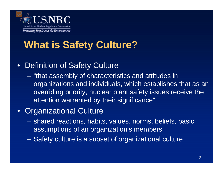

## **What is Safety Culture?**

### • Definition of Safety Culture

– "that assembly of characteristics and attitudes in organizations and individuals, which establishes that as an overriding priority, nuclear plant safety issues receive the attention warranted by their significance"

#### • Organizational Culture

- shared reactions, habits, values, norms, beliefs, basic assumptions of an organization's members
- Safety culture is a subset of organizational culture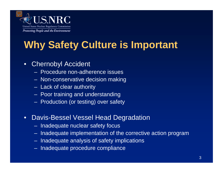

# **Why Safety Culture is Important**

#### • Chernobyl Accident

- Procedure non-adherence issues
- Non-conservative decision making
- Lack of clear authority
- Poor training and understanding
- Production (or testing) over safety
- Davis-Bessel Vessel Head Degradation
	- Inadequate nuclear safety focus
	- Inadequate implementation of the corrective action program
	- Inadequate analysis of safety implications
	- Inadequate procedure compliance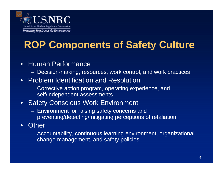

# **ROP Components of Safety Culture**

#### • Human Performance

– Decision-making, resources, work control, and work practices

#### • Problem Identification and Resolution

– Corrective action program, operating experience, and self/independent assessments

#### • Safety Conscious Work Environment

- Environment for raising safety concerns and preventing/detecting/mitigating perceptions of retaliation
- Other
	- Accountability, continuous learning environment, organizational change management, and safety policies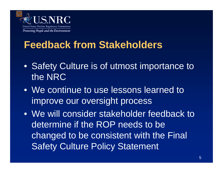

## **Feedback from Stakeholders**

- Safety Culture is of utmost importance to the NRC
- We continue to use lessons learned to improve our oversight process
- We will consider stakeholder feedback to determine if the ROP needs to be changed to be consistent with the Final Safety Culture Policy Statement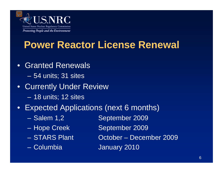

### **Power Reactor License Renewal**

- Granted Renewals
	- 54 units; 31 sites
- Currently Under Review – 18 units; 12 sites
- Expected Applications (next 6 months)
	-
	-
	-
	-
- Salem 1,2 September 2009
- Hope Creek September 2009
- STARS Plant October December 2009
- Columbia January 2010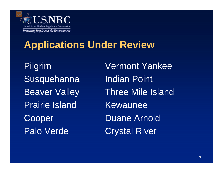

## **Applications Under Review**

Susquehanna Indian Point Prairie Island KewauneeCooper Duane Arnold Palo Verde Crystal River

Pilgrim Vermont Yankee Beaver Valley Three Mile Island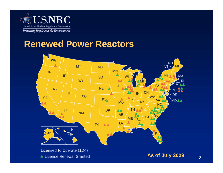

### **Renewed Power Reactors**

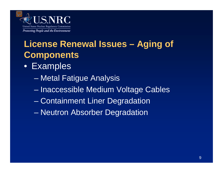

## **License Renewal Issues – Aging of Components**

- Examples
	- Metal Fatigue Analysis
	- Inaccessible Medium Voltage Cables
	- Containment Liner Degradation
	- Neutron Absorber Degradation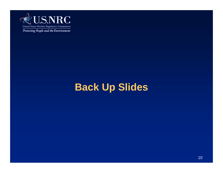

## **Back Up Slides**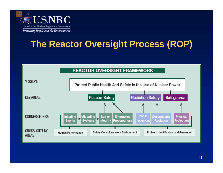

### **The Reactor Oversight Process (ROP)**

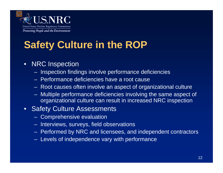

# **Safety Culture in the ROP**

#### • NRC Inspection

- Inspection findings involve performance deficiencies
- Performance deficiencies have a root cause
- Root causes often involve an aspect of organizational culture
- Multiple performance deficiencies involving the same aspect of organizational culture can result in increased NRC inspection

#### • Safety Culture Assessments

- Comprehensive evaluation
- Interviews, surveys, field observations
- Performed by NRC and licensees, and independent contractors
- Levels of independence vary with performance